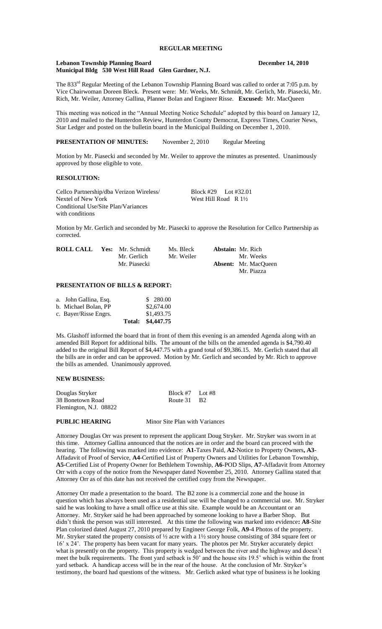# **REGULAR MEETING**

#### **Lebanon Township Planning Board December 14, 2010 Municipal Bldg 530 West Hill Road Glen Gardner, N.J.**

The 833<sup>rd</sup> Regular Meeting of the Lebanon Township Planning Board was called to order at 7:05 p.m. by Vice Chairwoman Doreen Bleck. Present were: Mr. Weeks, Mr. Schmidt, Mr. Gerlich, Mr. Piasecki, Mr. Rich, Mr. Weiler, Attorney Gallina, Planner Bolan and Engineer Risse. **Excused:** Mr. MacQueen

This meeting was noticed in the "Annual Meeting Notice Schedule" adopted by this board on January 12, 2010 and mailed to the Hunterdon Review, Hunterdon County Democrat, Express Times, Courier News, Star Ledger and posted on the bulletin board in the Municipal Building on December 1, 2010.

**PRESENTATION OF MINUTES:** November 2, 2010 Regular Meeting

Motion by Mr. Piasecki and seconded by Mr. Weiler to approve the minutes as presented. Unanimously approved by those eligible to vote.

## **RESOLUTION:**

Cellco Partnership/dba Verizon Wireless/<br>
Nextel of New York<br>
West Hill Road R 1<sup>1</sup>/2 West Hill Road R  $1\frac{1}{2}$ Conditional Use/Site Plan/Variances with conditions

Motion by Mr. Gerlich and seconded by Mr. Piasecki to approve the Resolution for Cellco Partnership as corrected.

| <b>ROLL CALL</b> | Yes: Mr. Schmidt | Ms. Bleck  | <b>Abstain:</b> Mr. Rich    |
|------------------|------------------|------------|-----------------------------|
|                  | Mr. Gerlich      | Mr. Weiler | Mr. Weeks                   |
|                  | Mr. Piasecki     |            | <b>Absent:</b> Mr. MacQueen |
|                  |                  |            | Mr. Piazza                  |

## **PRESENTATION OF BILLS & REPORT:**

|                       | Total: \$4,447.75 |
|-----------------------|-------------------|
| c. Bayer/Risse Engrs. | \$1,493.75        |
| b. Michael Bolan, PP  | \$2,674.00        |
| a. John Gallina, Esq. | \$ 280.00         |

Ms. Glashoff informed the board that in front of them this evening is an amended Agenda along with an amended Bill Report for additional bills. The amount of the bills on the amended agenda is \$4,790.40 added to the original Bill Report of \$4,447.75 with a grand total of \$9,386.15. Mr. Gerlich stated that all the bills are in order and can be approved. Motion by Mr. Gerlich and seconded by Mr. Rich to approve the bills as amended. Unanimously approved.

#### **NEW BUSINESS:**

| Douglas Stryker        | Block #7 Lot #8 |  |
|------------------------|-----------------|--|
| 38 Bonetown Road       | Route 31 B2     |  |
| Flemington, N.J. 08822 |                 |  |

**PUBLIC HEARING** Minor Site Plan with Variances

Attorney Douglas Orr was present to represent the applicant Doug Stryker. Mr. Stryker was sworn in at this time. Attorney Gallina announced that the notices are in order and the board can proceed with the hearing. The following was marked into evidence: **A1-**Taxes Paid, **A2**-Notice to Property Owners**, A3**- Affadavit of Proof of Service, **A4**-Certified List of Property Owners and Utilities for Lebanon Township, **A5**-Certified List of Property Owner for Bethlehem Township, **A6**-POD Slips, **A7**-Affadavit from Attorney Orr with a copy of the notice from the Newspaper dated November 25, 2010. Attorney Gallina stated that Attorney Orr as of this date has not received the certified copy from the Newspaper.

Attorney Orr made a presentation to the board. The B2 zone is a commercial zone and the house in question which has always been used as a residential use will be changed to a commercial use. Mr. Stryker said he was looking to have a small office use at this site. Example would be an Accountant or an Attorney. Mr. Stryker said he had been approached by someone looking to have a Barber Shop. But didn't think the person was still interested. At this time the following was marked into evidence**: A8**-Site Plan colorized dated August 27, 2010 prepared by Engineer George Folk, **A9**-4 Photos of the property. Mr. Stryker stated the property consists of  $\frac{1}{2}$  acre with a 1½ story house consisting of 384 square feet or 16' x 24'. The property has been vacant for many years. The photos per Mr. Stryker accurately depict what is presently on the property. This property is wedged between the river and the highway and doesn't meet the bulk requirements. The front yard setback is 50' and the house sits 19.5' which is within the front yard setback. A handicap access will be in the rear of the house. At the conclusion of Mr. Stryker's testimony, the board had questions of the witness. Mr. Gerlich asked what type of business is he looking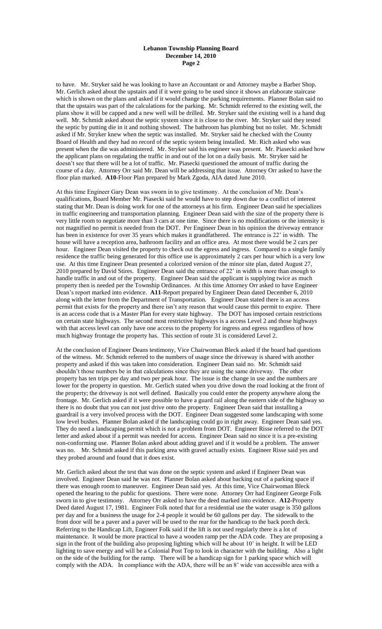to have. Mr. Stryker said he was looking to have an Accountant or and Attorney maybe a Barber Shop. Mr. Gerlich asked about the upstairs and if it were going to be used since it shows an elaborate staircase which is shown on the plans and asked if it would change the parking requirements. Planner Bolan said no that the upstairs was part of the calculations for the parking. Mr. Schmidt referred to the existing well, the plans show it will be capped and a new well will be drilled. Mr. Stryker said the existing well is a hand dug well. Mr. Schmidt asked about the septic system since it is close to the river. Mr. Stryker said they tested the septic by putting die in it and nothing showed. The bathroom has plumbing but no toilet. Mr. Schmidt asked if Mr. Stryker knew when the septic was installed. Mr. Stryker said he checked with the County Board of Health and they had no record of the septic system being installed. Mr. Rich asked who was present when the die was administered. Mr. Stryker said his engineer was present. Mr. Piasecki asked how the applicant plans on regulating the traffic in and out of the lot on a daily basis. Mr. Stryker said he doesn't see that there will be a lot of traffic. Mr. Piasecki questioned the amount of traffic during the course of a day. Attorney Orr said Mr. Dean will be addressing that issue. Attorney Orr asked to have the floor plan marked. **A10**-Floor Plan prepared by Mark Zgoda, AIA dated June 2010.

At this time Engineer Gary Dean was sworn in to give testimony. At the conclusion of Mr. Dean's qualifications, Board Member Mr. Piasecki said he would have to step down due to a conflict of interest stating that Mr. Dean is doing work for one of the attorneys at his firm. Engineer Dean said he specializes in traffic engineering and transportation planning. Engineer Dean said with the size of the property there is very little room to negotiate more than 3 cars at one time. Since there is no modifications or the intensity is not magnified no permit is needed from the DOT. Per Engineer Dean in his opinion the driveway entrance has been in existence for over 35 years which makes it grandfathered. The entrance is 22' in width. The house will have a reception area, bathroom facility and an office area. At most there would be 2 cars per hour. Engineer Dean visited the property to check out the egress and ingress. Compared to a single family residence the traffic being generated for this office use is approximately 2 cars per hour which is a very low use. At this time Engineer Dean presented a colorized version of the minor site plan, dated August 27, 2010 prepared by David Stires. Engineer Dean said the entrance of 22' in width is more than enough to handle traffic in and out of the property. Engineer Dean said the applicant is supplying twice as much property then is needed per the Township Ordinances. At this time Attorney Orr asked to have Engineer Dean's report marked into evidence. **A11**-Report prepared by Engineer Dean dated December 6, 2010 along with the letter from the Department of Transportation. Engineer Dean stated there is an access permit that exists for the property and there isn't any reason that would cause this permit to expire. There is an access code that is a Master Plan for every state highway. The DOT has imposed certain restrictions on certain state highways. The second most restrictive highways is a access Level 2 and those highways with that access level can only have one access to the property for ingress and egress regardless of how much highway frontage the property has. This section of route 31 is considered Level 2.

At the conclusion of Engineer Deans testimony, Vice Chairwoman Bleck asked if the board had questions of the witness. Mr. Schmidt referred to the numbers of usage since the driveway is shared with another property and asked if this was taken into consideration. Engineer Dean said no. Mr. Schmidt said shouldn't those numbers be in that calculations since they are using the same driveway. The other property has ten trips per day and two per peak hour. The issue is the change in use and the numbers are lower for the property in question. Mr. Gerlich stated when you drive down the road looking at the front of the property; the driveway is not well defined. Basically you could enter the property anywhere along the frontage. Mr. Gerlich asked if it were possible to have a guard rail along the eastern side of the highway so there is no doubt that you can not just drive onto the property. Engineer Dean said that installing a guardrail is a very involved process with the DOT. Engineer Dean suggested some landscaping with some low level bushes. Planner Bolan asked if the landscaping could go in right away. Engineer Dean said yes. They do need a landscaping permit which is not a problem from DOT. Engineer Risse referred to the DOT letter and asked about if a permit was needed for access. Engineer Dean said no since it is a pre-existing non-conforming use. Planner Bolan asked about adding gravel and if it would be a problem. The answer was no. Mr. Schmidt asked if this parking area with gravel actually exists. Engineer Risse said yes and they probed around and found that it does exist.

Mr. Gerlich asked about the test that was done on the septic system and asked if Engineer Dean was involved. Engineer Dean said he was not. Planner Bolan asked about backing out of a parking space if there was enough room to maneuver. Engineer Dean said yes. At this time, Vice Chairwoman Bleck opened the hearing to the public for questions. There were none. Attorney Orr had Engineer George Folk sworn in to give testimony. Attorney Orr asked to have the deed marked into evidence. **A12-**Property Deed dated August 17, 1981. Engineer Folk noted that for a residential use the water usage is 350 gallons per day and for a business the usage for 2-4 people it would be 60 gallons per day. The sidewalk to the front door will be a paver and a paver will be used to the rear for the handicap to the back porch deck. Referring to the Handicap Lift, Engineer Folk said if the lift is not used regularly there is a lot of maintenance. It would be more practical to have a wooden ramp per the ADA code. They are proposing a sign in the front of the building also proposing lighting which will be about 10' in height. It will be LED lighting to save energy and will be a Colonial Post Top to look in character with the building. Also a light on the side of the building for the ramp. There will be a handicap sign for 1 parking space which will comply with the ADA. In compliance with the ADA, there will be an 8' wide van accessible area with a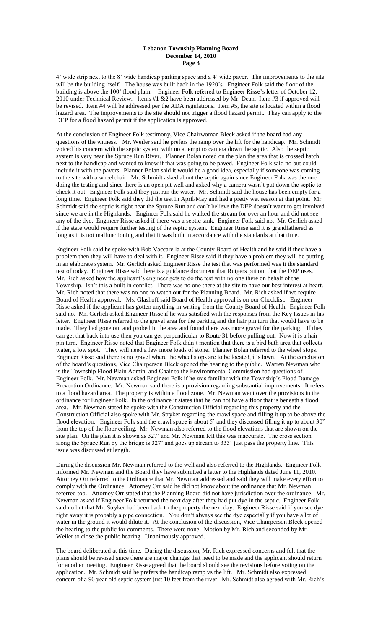4' wide strip next to the 8' wide handicap parking space and a 4' wide paver. The improvements to the site will be the building itself. The house was built back in the 1920's. Engineer Folk said the floor of the building is above the 100' flood plain. Engineer Folk referred to Engineer Risse's letter of October 12, 2010 under Technical Review. Items #1 &2 have been addressed by Mr. Dean. Item #3 if approved will be revised. Item #4 will be addressed per the ADA regulations. Item #5, the site is located within a flood hazard area. The improvements to the site should not trigger a flood hazard permit. They can apply to the DEP for a flood hazard permit if the application is approved.

At the conclusion of Engineer Folk testimony, Vice Chairwoman Bleck asked if the board had any questions of the witness. Mr. Weiler said he prefers the ramp over the lift for the handicap. Mr. Schmidt voiced his concern with the septic system with no attempt to camera down the septic. Also the septic system is very near the Spruce Run River. Planner Bolan noted on the plan the area that is crossed hatch next to the handicap and wanted to know if that was going to be paved. Engineer Folk said no but could include it with the pavers. Planner Bolan said it would be a good idea, especially if someone was coming to the site with a wheelchair. Mr. Schmidt asked about the septic again since Engineer Folk was the one doing the testing and since there is an open pit well and asked why a camera wasn't put down the septic to check it out. Engineer Folk said they just ran the water. Mr. Schmidt said the house has been empty for a long time. Engineer Folk said they did the test in April/May and had a pretty wet season at that point. Mr. Schmidt said the septic is right near the Spruce Run and can't believe the DEP doesn't want to get involved since we are in the Highlands. Engineer Folk said he walked the stream for over an hour and did not see any of the dye. Engineer Risse asked if there was a septic tank. Engineer Folk said no. Mr. Gerlich asked if the state would require further testing of the septic system. Engineer Risse said it is grandfathered as long as it is not malfunctioning and that it was built in accordance with the standards at that time.

Engineer Folk said he spoke with Bob Vaccarella at the County Board of Health and he said if they have a problem then they will have to deal with it. Engineer Risse said if they have a problem they will be putting in an elaborate system. Mr. Gerlich asked Engineer Risse the test that was performed was it the standard test of today. Engineer Risse said there is a guidance document that Rutgers put out that the DEP uses. Mr. Rich asked how the applicant's engineer gets to do the test with no one there on behalf of the Township. Isn't this a built in conflict. There was no one there at the site to have our best interest at heart. Mr. Rich noted that there was no one to watch out for the Planning Board. Mr. Rich asked if we require Board of Health approval. Ms. Glashoff said Board of Health approval is on our Checklist. Engineer Risse asked if the applicant has gotten anything in writing from the County Board of Health. Engineer Folk said no. Mr. Gerlich asked Engineer Risse if he was satisfied with the responses from the Key Issues in his letter. Engineer Risse referred to the gravel area for the parking and the hair pin turn that would have to be made. They had gone out and probed in the area and found there was more gravel for the parking. If they can get that back into use then you can get perpendicular to Route 31 before pulling out. Now it is a hair pin turn. Engineer Risse noted that Engineer Folk didn't mention that there is a bird bath area that collects water, a low spot. They will need a few more loads of stone. Planner Bolan referred to the wheel stops. Engineer Risse said there is no gravel where the wheel stops are to be located, it's lawn. At the conclusion of the board's questions, Vice Chairperson Bleck opened the hearing to the public. Warren Newman who is the Township Flood Plain Admin. and Chair to the Environmental Commission had questions of Engineer Folk. Mr. Newman asked Engineer Folk if he was familiar with the Township's Flood Damage Prevention Ordinance. Mr. Newman said there is a provision regarding substantial improvements. It refers to a flood hazard area. The property is within a flood zone. Mr. Newman went over the provisions in the ordinance for Engineer Folk. In the ordinance it states that he can not have a floor that is beneath a flood area. Mr. Newman stated he spoke with the Construction Official regarding this property and the Construction Official also spoke with Mr. Stryker regarding the crawl space and filling it up to be above the flood elevation. Engineer Folk said the crawl space is about 5' and they discussed filling it up to about 30" from the top of the floor ceiling. Mr. Newman also referred to the flood elevations that are shown on the site plan. On the plan it is shown as 327' and Mr. Newman felt this was inaccurate. The cross section along the Spruce Run by the bridge is 327' and goes up stream to 333' just pass the property line. This issue was discussed at length.

During the discussion Mr. Newman referred to the well and also referred to the Highlands. Engineer Folk informed Mr. Newman and the Board they have submitted a letter to the Highlands dated June 11, 2010. Attorney Orr referred to the Ordinance that Mr. Newman addressed and said they will make every effort to comply with the Ordinance. Attorney Orr said he did not know about the ordinance that Mr. Newman referred too. Attorney Orr stated that the Planning Board did not have jurisdiction over the ordinance. Mr. Newman asked if Engineer Folk returned the next day after they had put dye in the septic. Engineer Folk said no but that Mr. Stryker had been back to the property the next day. Engineer Risse said if you see dye right away it is probably a pipe connection. You don't always see the dye especially if you have a lot of water in the ground it would dilute it. At the conclusion of the discussion, Vice Chairperson Bleck opened the hearing to the public for comments. There were none. Motion by Mr. Rich and seconded by Mr. Weiler to close the public hearing. Unanimously approved.

The board deliberated at this time. During the discussion, Mr. Rich expressed concerns and felt that the plans should be revised since there are major changes that need to be made and the applicant should return for another meeting. Engineer Risse agreed that the board should see the revisions before voting on the application. Mr. Schmidt said he prefers the handicap ramp vs the lift. Mr. Schmidt also expressed concern of a 90 year old septic system just 10 feet from the river. Mr. Schmidt also agreed with Mr. Rich's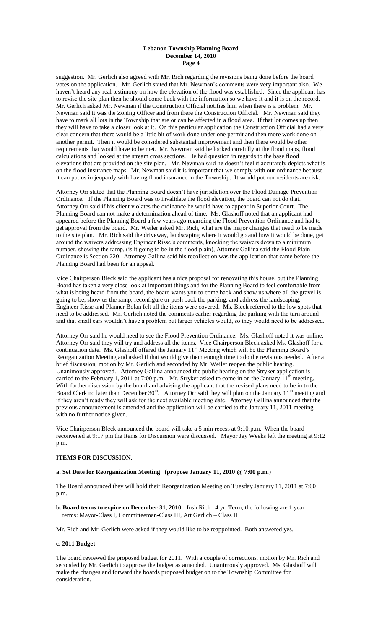suggestion. Mr. Gerlich also agreed with Mr. Rich regarding the revisions being done before the board votes on the application. Mr. Gerlich stated that Mr. Newman's comments were very important also. We haven't heard any real testimony on how the elevation of the flood was established. Since the applicant has to revise the site plan then he should come back with the information so we have it and it is on the record. Mr. Gerlich asked Mr. Newman if the Construction Official notifies him when there is a problem. Mr. Newman said it was the Zoning Officer and from there the Construction Official. Mr. Newman said they have to mark all lots in the Township that are or can be affected in a flood area. If that lot comes up then they will have to take a closer look at it. On this particular application the Construction Official had a very clear concern that there would be a little bit of work done under one permit and then more work done on another permit. Then it would be considered substantial improvement and then there would be other requirements that would have to be met. Mr. Newman said he looked carefully at the flood maps, flood calculations and looked at the stream cross sections. He had question in regards to the base flood elevations that are provided on the site plan. Mr. Newman said he doesn't feel it accurately depicts what is on the flood insurance maps. Mr. Newman said it is important that we comply with our ordinance because it can put us in jeopardy with having flood insurance in the Township. It would put our residents are risk.

Attorney Orr stated that the Planning Board doesn't have jurisdiction over the Flood Damage Prevention Ordinance. If the Planning Board was to invalidate the flood elevation, the board can not do that. Attorney Orr said if his client violates the ordinance he would have to appear in Superior Court. The Planning Board can not make a determination ahead of time. Ms. Glashoff noted that an applicant had appeared before the Planning Board a few years ago regarding the Flood Prevention Ordinance and had to get approval from the board. Mr. Weiler asked Mr. Rich, what are the major changes that need to be made to the site plan. Mr. Rich said the driveway, landscaping where it would go and how it would be done, get around the waivers addressing Engineer Risse's comments, knocking the waivers down to a minimum number, showing the ramp, (is it going to be in the flood plain), Attorney Gallina said the Flood Plain Ordinance is Section 220. Attorney Gallina said his recollection was the application that came before the Planning Board had been for an appeal.

Vice Chairperson Bleck said the applicant has a nice proposal for renovating this house, but the Planning Board has taken a very close look at important things and for the Planning Board to feel comfortable from what is being heard from the board, the board wants you to come back and show us where all the gravel is going to be, show us the ramp, reconfigure or push back the parking, and address the landscaping. Engineer Risse and Planner Bolan felt all the items were covered. Ms. Bleck referred to the low spots that need to be addressed. Mr. Gerlich noted the comments earlier regarding the parking with the turn around and that small cars wouldn't have a problem but larger vehicles would, so they would need to be addressed.

Attorney Orr said he would need to see the Flood Prevention Ordinance. Ms. Glashoff noted it was online. Attorney Orr said they will try and address all the items. Vice Chairperson Bleck asked Ms. Glashoff for a continuation date. Ms. Glashoff offered the January  $11<sup>th</sup>$  Meeting which will be the Planning Board's Reorganization Meeting and asked if that would give them enough time to do the revisions needed. After a brief discussion, motion by Mr. Gerlich and seconded by Mr. Weiler reopen the public hearing. Unanimously approved. Attorney Gallina announced the public hearing on the Stryker application is carried to the February 1, 2011 at 7:00 p.m. Mr. Stryker asked to come in on the January 11<sup>th</sup> meeting. With further discussion by the board and advising the applicant that the revised plans need to be in to the Board Clerk no later than December  $30<sup>th</sup>$ . Attorney Orr said they will plan on the January  $11<sup>th</sup>$  meeting and if they aren't ready they will ask for the next available meeting date. Attorney Gallina announced that the previous announcement is amended and the application will be carried to the January 11, 2011 meeting with no further notice given.

Vice Chairperson Bleck announced the board will take a 5 min recess at 9:10.p.m. When the board reconvened at 9:17 pm the Items for Discussion were discussed. Mayor Jay Weeks left the meeting at 9:12 p.m.

## **ITEMS FOR DISCUSSION**:

## **a. Set Date for Reorganization Meeting (propose January 11, 2010 @ 7:00 p.m**.)

The Board announced they will hold their Reorganization Meeting on Tuesday January 11, 2011 at 7:00 p.m.

**b. Board terms to expire on December 31, 2010**: Josh Rich 4 yr. Term, the following are 1 year terms: Mayor-Class I, Committeeman-Class III, Art Gerlich – Class II

Mr. Rich and Mr. Gerlich were asked if they would like to be reappointed. Both answered yes.

### **c. 2011 Budget**

The board reviewed the proposed budget for 2011. With a couple of corrections, motion by Mr. Rich and seconded by Mr. Gerlich to approve the budget as amended. Unanimously approved. Ms. Glashoff will make the changes and forward the boards proposed budget on to the Township Committee for consideration.